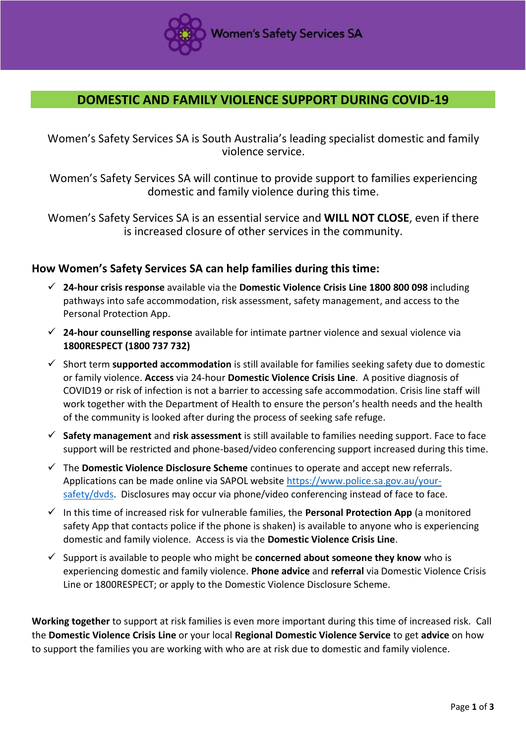

## **DOMESTIC AND FAMILY VIOLENCE SUPPORT DURING COVID-19**

Women's Safety Services SA is South Australia's leading specialist domestic and family violence service.

Women's Safety Services SA will continue to provide support to families experiencing domestic and family violence during this time.

Women's Safety Services SA is an essential service and **WILL NOT CLOSE**, even if there is increased closure of other services in the community.

## **How Women's Safety Services SA can help families during this time:**

- **24-hour crisis response** available via the **Domestic Violence Crisis Line 1800 800 098** including pathways into safe accommodation, risk assessment, safety management, and access to the Personal Protection App.
- **24-hour counselling response** available for intimate partner violence and sexual violence via **1800RESPECT (1800 737 732)**
- Short term **supported accommodation** is still available for families seeking safety due to domestic or family violence. **Access** via 24-hour **Domestic Violence Crisis Line**. A positive diagnosis of COVID19 or risk of infection is not a barrier to accessing safe accommodation. Crisis line staff will work together with the Department of Health to ensure the person's health needs and the health of the community is looked after during the process of seeking safe refuge.
- **Safety management** and **risk assessment** is still available to families needing support. Face to face support will be restricted and phone-based/video conferencing support increased during this time.
- The **Domestic Violence Disclosure Scheme** continues to operate and accept new referrals. Applications can be made online via SAPOL website [https://www.police.sa.gov.au/your](https://www.police.sa.gov.au/your-safety/dvds)[safety/dvds.](https://www.police.sa.gov.au/your-safety/dvds) Disclosures may occur via phone/video conferencing instead of face to face.
- $\checkmark$  In this time of increased risk for vulnerable families, the **Personal Protection App** (a monitored safety App that contacts police if the phone is shaken) is available to anyone who is experiencing domestic and family violence. Access is via the **Domestic Violence Crisis Line**.
- $\checkmark$  Support is available to people who might be **concerned about someone they know** who is experiencing domestic and family violence. **Phone advice** and **referral** via Domestic Violence Crisis Line or 1800RESPECT; or apply to the Domestic Violence Disclosure Scheme.

**Working together** to support at risk families is even more important during this time of increased risk. Call the **Domestic Violence Crisis Line** or your local **Regional Domestic Violence Service** to get **advice** on how to support the families you are working with who are at risk due to domestic and family violence.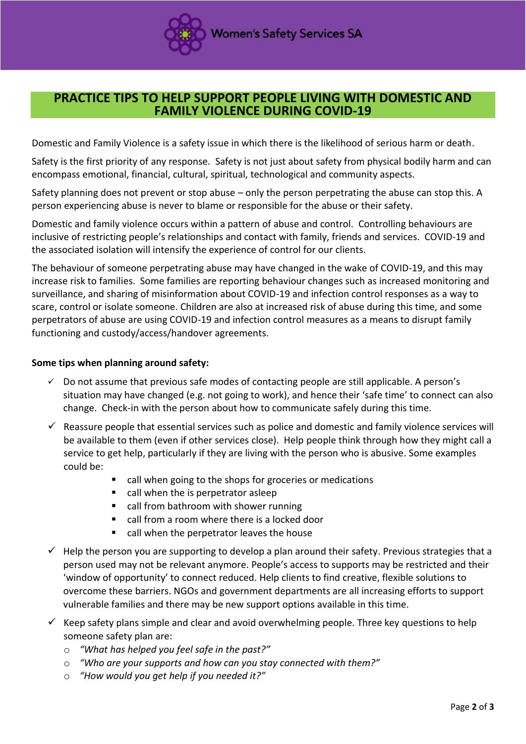

## **PRACTICE TIPS TO HELP SUPPORT PEOPLE LIVING WITH DOMESTIC AND FAMILY VIOLENCE DURING COVID-19**

Domestic and Family Violence is a safety issue in which there is the likelihood of serious harm or death.

Safety is the first priority of any response. Safety is not just about safety from physical bodily harm and can encompass emotional, financial, cultural, spiritual, technological and community aspects.

Safety planning does not prevent or stop abuse – only the person perpetrating the abuse can stop this. A person experiencing abuse is never to blame or responsible for the abuse or their safety.

Domestic and family violence occurs within a pattern of abuse and control. Controlling behaviours are inclusive of restricting people's relationships and contact with family, friends and services. COVID-19 and the associated isolation will intensify the experience of control for our clients.

The behaviour of someone perpetrating abuse may have changed in the wake of COVID-19, and this may increase risk to families. Some families are reporting behaviour changes such as increased monitoring and surveillance, and sharing of misinformation about COVID-19 and infection control responses as a way to scare, control or isolate someone. Children are also at increased risk of abuse during this time, and some perpetrators of abuse are using COVID-19 and infection control measures as a means to disrupt family functioning and custody/access/handover agreements.

## **Some tips when planning around safety:**

- $\checkmark$  Do not assume that previous safe modes of contacting people are still applicable. A person's situation may have changed (e.g. not going to work), and hence their 'safe time' to connect can also change. Check-in with the person about how to communicate safely during this time.
- $\checkmark$  Reassure people that essential services such as police and domestic and family violence services will be available to them (even if other services close). Help people think through how they might call a service to get help, particularly if they are living with the person who is abusive. Some examples could be:
	- call when going to the shops for groceries or medications
	- call when the is perpetrator asleep
	- call from bathroom with shower running
	- call from a room where there is a locked door
	- call when the perpetrator leaves the house
- $\checkmark$  Help the person you are supporting to develop a plan around their safety. Previous strategies that a person used may not be relevant anymore. People's access to supports may be restricted and their 'window of opportunity' to connect reduced. Help clients to find creative, flexible solutions to overcome these barriers. NGOs and government departments are all increasing efforts to support vulnerable families and there may be new support options available in this time.
- $\checkmark$  Keep safety plans simple and clear and avoid overwhelming people. Three key questions to help someone safety plan are:
	- o *"What has helped you feel safe in the past?"*
	- o *"Who are your supports and how can you stay connected with them?"*
	- o *"How would you get help if you needed it?"*